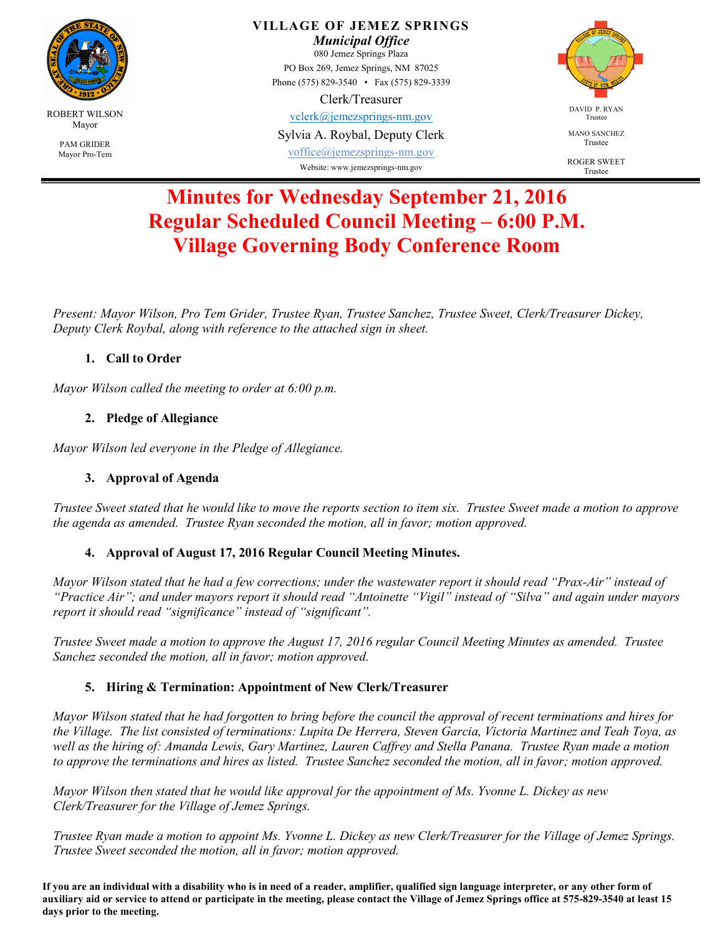

**VILLAGE OF JEMEZ SPRINGS** 

*Municipal Office*  080 Jemez Springs Plaza PO Box 269, Jemez Springs, NM 87025 Phone (575) 829-3540 • Fax (575) 829-3339

#### Clerk/Treasurer

vclerk@jemezsprings-nm.gov

Sylvia A. Roybal, Deputy Clerk

voffice@jemezsprings-nm.gov Website: www.jemezsprings-nm.gov



MANO SANCHEZ Trustee

ROGER SWEET Trustee

# **Minutes for Wednesday September 21, 2016 Regular Scheduled Council Meeting – 6:00 P.M. Village Governing Body Conference Room**

*Present: Mayor Wilson, Pro Tem Grider, Trustee Ryan, Trustee Sanchez, Trustee Sweet, Clerk/Treasurer Dickey, Deputy Clerk Roybal, along with reference to the attached sign in sheet.*

# **1. Call to Order**

*Mayor Wilson called the meeting to order at 6:00 p.m.* 

# **2. Pledge of Allegiance**

*Mayor Wilson led everyone in the Pledge of Allegiance.* 

# **3. Approval of Agenda**

*Trustee Sweet stated that he would like to move the reports section to item six. Trustee Sweet made a motion to approve the agenda as amended. Trustee Ryan seconded the motion, all in favor; motion approved.* 

# **4. Approval of August 17, 2016 Regular Council Meeting Minutes.**

*Mayor Wilson stated that he had a few corrections; under the wastewater report it should read "Prax-Air" instead of "Practice Air"; and under mayors report it should read "Antoinette "Vigil" instead of "Silva" and again under mayors report it should read "significance" instead of "significant".* 

*Trustee Sweet made a motion to approve the August 17, 2016 regular Council Meeting Minutes as amended. Trustee Sanchez seconded the motion, all in favor; motion approved.* 

# **5. Hiring & Termination: Appointment of New Clerk/Treasurer**

*Mayor Wilson stated that he had forgotten to bring before the council the approval of recent terminations and hires for the Village. The list consisted of terminations: Lupita De Herrera, Steven Garcia, Victoria Martinez and Teah Toya, as well as the hiring of: Amanda Lewis, Gary Martinez, Lauren Caffrey and Stella Panana. Trustee Ryan made a motion to approve the terminations and hires as listed. Trustee Sanchez seconded the motion, all in favor; motion approved.* 

*Mayor Wilson then stated that he would like approval for the appointment of Ms. Yvonne L. Dickey as new Clerk/Treasurer for the Village of Jemez Springs.* 

*Trustee Ryan made a motion to appoint Ms. Yvonne L. Dickey as new Clerk/Treasurer for the Village of Jemez Springs. Trustee Sweet seconded the motion, all in favor; motion approved.* 

**If you are an individual with a disability who is in need of a reader, amplifier, qualified sign language interpreter, or any other form of auxiliary aid or service to attend or participate in the meeting, please contact the Village of Jemez Springs office at 575-829-3540 at least 15 days prior to the meeting.**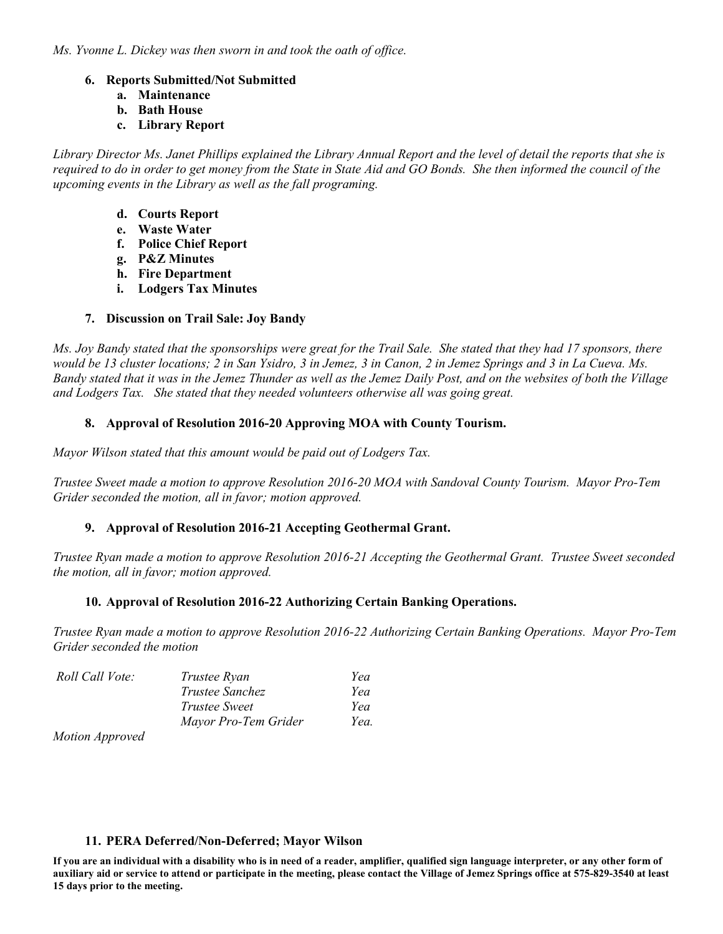*Ms. Yvonne L. Dickey was then sworn in and took the oath of office.* 

#### **6. Reports Submitted/Not Submitted**

- **a. Maintenance**
- **b. Bath House**
- **c. Library Report**

*Library Director Ms. Janet Phillips explained the Library Annual Report and the level of detail the reports that she is*  required to do in order to get money from the State in State Aid and GO Bonds. She then informed the council of the *upcoming events in the Library as well as the fall programing.* 

- **d. Courts Report**
- **e. Waste Water**
- **f. Police Chief Report**
- **g. P&Z Minutes**
- **h. Fire Department**
- **i. Lodgers Tax Minutes**

#### **7. Discussion on Trail Sale: Joy Bandy**

*Ms. Joy Bandy stated that the sponsorships were great for the Trail Sale. She stated that they had 17 sponsors, there would be 13 cluster locations; 2 in San Ysidro, 3 in Jemez, 3 in Canon, 2 in Jemez Springs and 3 in La Cueva. Ms. Bandy stated that it was in the Jemez Thunder as well as the Jemez Daily Post, and on the websites of both the Village and Lodgers Tax. She stated that they needed volunteers otherwise all was going great.* 

#### **8. Approval of Resolution 2016-20 Approving MOA with County Tourism.**

*Mayor Wilson stated that this amount would be paid out of Lodgers Tax.* 

*Trustee Sweet made a motion to approve Resolution 2016-20 MOA with Sandoval County Tourism. Mayor Pro-Tem Grider seconded the motion, all in favor; motion approved.* 

## **9. Approval of Resolution 2016-21 Accepting Geothermal Grant.**

*Trustee Ryan made a motion to approve Resolution 2016-21 Accepting the Geothermal Grant. Trustee Sweet seconded the motion, all in favor; motion approved.* 

#### **10. Approval of Resolution 2016-22 Authorizing Certain Banking Operations.**

*Trustee Ryan made a motion to approve Resolution 2016-22 Authorizing Certain Banking Operations. Mayor Pro-Tem Grider seconded the motion* 

| Roll Call Vote: | Trustee Ryan           | Yea  |
|-----------------|------------------------|------|
|                 | <i>Trustee Sanchez</i> | Yea  |
|                 | Trustee Sweet          | Yea  |
|                 | Mayor Pro-Tem Grider   | Yea. |

*Motion Approved* 

#### **11. PERA Deferred/Non-Deferred; Mayor Wilson**

**If you are an individual with a disability who is in need of a reader, amplifier, qualified sign language interpreter, or any other form of auxiliary aid or service to attend or participate in the meeting, please contact the Village of Jemez Springs office at 575-829-3540 at least 15 days prior to the meeting.**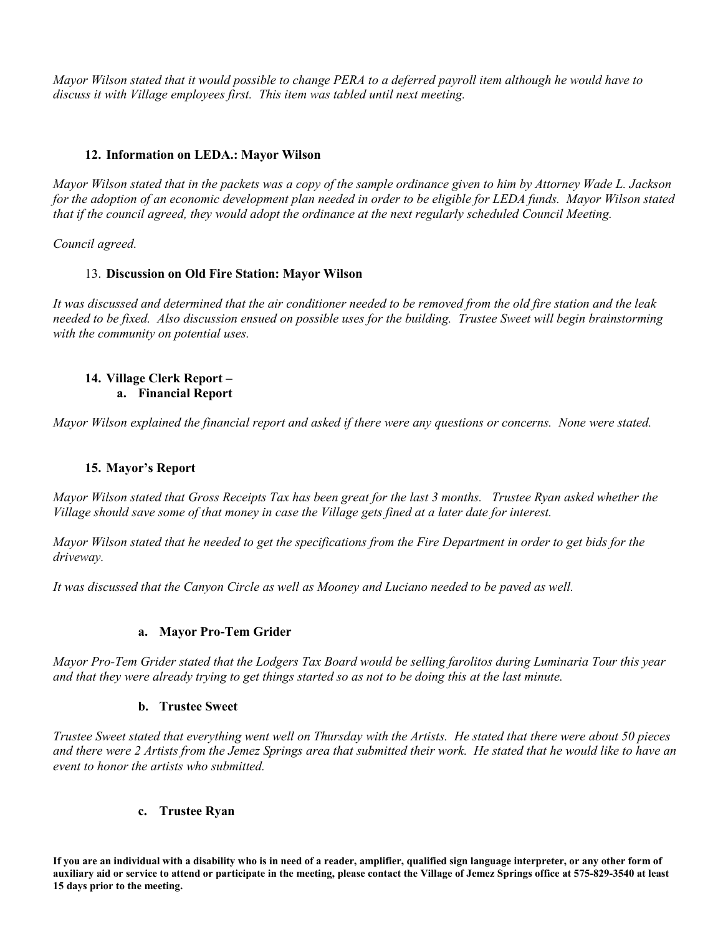*Mayor Wilson stated that it would possible to change PERA to a deferred payroll item although he would have to discuss it with Village employees first. This item was tabled until next meeting.* 

#### **12. Information on LEDA.: Mayor Wilson**

*Mayor Wilson stated that in the packets was a copy of the sample ordinance given to him by Attorney Wade L. Jackson for the adoption of an economic development plan needed in order to be eligible for LEDA funds. Mayor Wilson stated that if the council agreed, they would adopt the ordinance at the next regularly scheduled Council Meeting.* 

*Council agreed.* 

#### 13. **Discussion on Old Fire Station: Mayor Wilson**

*It was discussed and determined that the air conditioner needed to be removed from the old fire station and the leak needed to be fixed. Also discussion ensued on possible uses for the building. Trustee Sweet will begin brainstorming with the community on potential uses.* 

#### **14. Village Clerk Report – a. Financial Report**

*Mayor Wilson explained the financial report and asked if there were any questions or concerns. None were stated.* 

## **15. Mayor's Report**

*Mayor Wilson stated that Gross Receipts Tax has been great for the last 3 months. Trustee Ryan asked whether the Village should save some of that money in case the Village gets fined at a later date for interest.* 

*Mayor Wilson stated that he needed to get the specifications from the Fire Department in order to get bids for the driveway.* 

*It was discussed that the Canyon Circle as well as Mooney and Luciano needed to be paved as well.* 

#### **a. Mayor Pro-Tem Grider**

*Mayor Pro-Tem Grider stated that the Lodgers Tax Board would be selling farolitos during Luminaria Tour this year and that they were already trying to get things started so as not to be doing this at the last minute.* 

#### **b. Trustee Sweet**

*Trustee Sweet stated that everything went well on Thursday with the Artists. He stated that there were about 50 pieces and there were 2 Artists from the Jemez Springs area that submitted their work. He stated that he would like to have an event to honor the artists who submitted.* 

#### **c. Trustee Ryan**

**If you are an individual with a disability who is in need of a reader, amplifier, qualified sign language interpreter, or any other form of auxiliary aid or service to attend or participate in the meeting, please contact the Village of Jemez Springs office at 575-829-3540 at least 15 days prior to the meeting.**